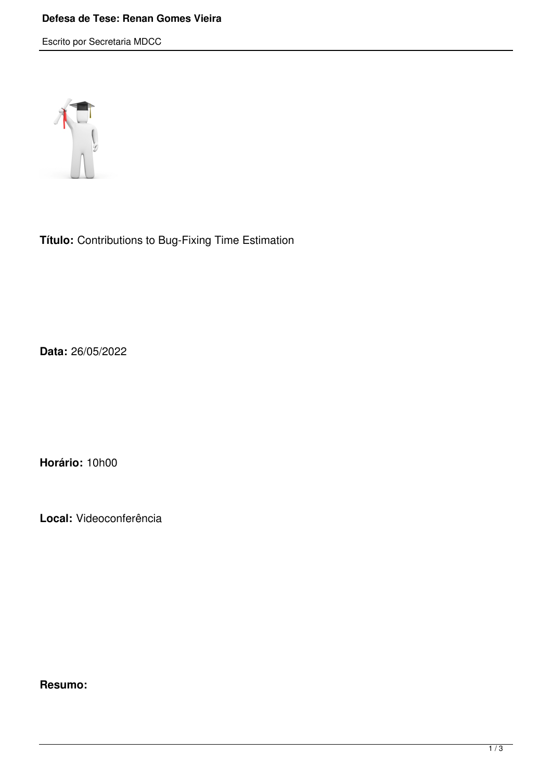## **Defesa de Tese: Renan Gomes Vieira**

Escrito por Secretaria MDCC



**Título:** Contributions to Bug-Fixing Time Estimation

**Data:** 26/05/2022

**Horário:** 10h00

**Local:** Videoconferência

**Resumo:**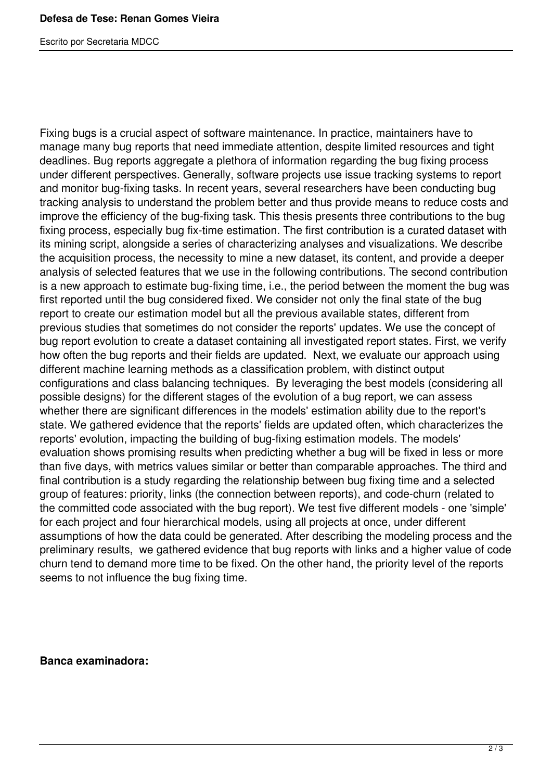Escrito por Secretaria MDCC

Fixing bugs is a crucial aspect of software maintenance. In practice, maintainers have to manage many bug reports that need immediate attention, despite limited resources and tight deadlines. Bug reports aggregate a plethora of information regarding the bug fixing process under different perspectives. Generally, software projects use issue tracking systems to report and monitor bug-fixing tasks. In recent years, several researchers have been conducting bug tracking analysis to understand the problem better and thus provide means to reduce costs and improve the efficiency of the bug-fixing task. This thesis presents three contributions to the bug fixing process, especially bug fix-time estimation. The first contribution is a curated dataset with its mining script, alongside a series of characterizing analyses and visualizations. We describe the acquisition process, the necessity to mine a new dataset, its content, and provide a deeper analysis of selected features that we use in the following contributions. The second contribution is a new approach to estimate bug-fixing time, i.e., the period between the moment the bug was first reported until the bug considered fixed. We consider not only the final state of the bug report to create our estimation model but all the previous available states, different from previous studies that sometimes do not consider the reports' updates. We use the concept of bug report evolution to create a dataset containing all investigated report states. First, we verify how often the bug reports and their fields are updated. Next, we evaluate our approach using different machine learning methods as a classification problem, with distinct output configurations and class balancing techniques. By leveraging the best models (considering all possible designs) for the different stages of the evolution of a bug report, we can assess whether there are significant differences in the models' estimation ability due to the report's state. We gathered evidence that the reports' fields are updated often, which characterizes the reports' evolution, impacting the building of bug-fixing estimation models. The models' evaluation shows promising results when predicting whether a bug will be fixed in less or more than five days, with metrics values similar or better than comparable approaches. The third and final contribution is a study regarding the relationship between bug fixing time and a selected group of features: priority, links (the connection between reports), and code-churn (related to the committed code associated with the bug report). We test five different models - one 'simple' for each project and four hierarchical models, using all projects at once, under different assumptions of how the data could be generated. After describing the modeling process and the preliminary results, we gathered evidence that bug reports with links and a higher value of code churn tend to demand more time to be fixed. On the other hand, the priority level of the reports seems to not influence the bug fixing time.

## **Banca examinadora:**